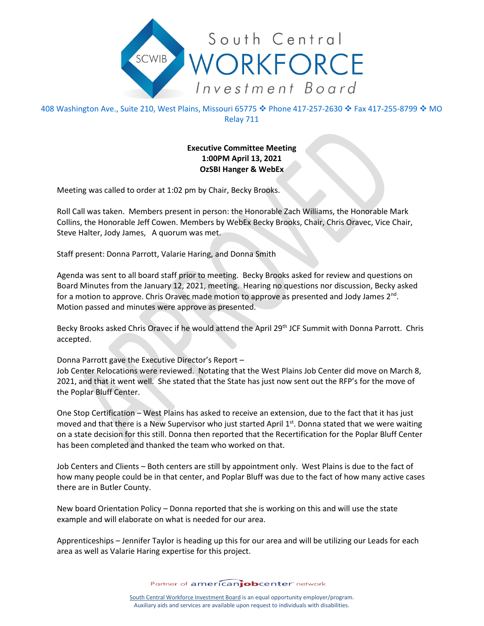

408 Washington Ave., Suite 210, West Plains, Missouri 65775 � Phone 417-257-2630 � Fax 417-255-8799 � MO Relay 711

## **Executive Committee Meeting 1:00PM April 13, 2021 OzSBI Hanger & WebEx**

Meeting was called to order at 1:02 pm by Chair, Becky Brooks.

Roll Call was taken. Members present in person: the Honorable Zach Williams, the Honorable Mark Collins, the Honorable Jeff Cowen. Members by WebEx Becky Brooks, Chair, Chris Oravec, Vice Chair, Steve Halter, Jody James, A quorum was met.

Staff present: Donna Parrott, Valarie Haring, and Donna Smith

Agenda was sent to all board staff prior to meeting. Becky Brooks asked for review and questions on Board Minutes from the January 12, 2021, meeting. Hearing no questions nor discussion, Becky asked for a motion to approve. Chris Oravec made motion to approve as presented and Jody James  $2^{nd}$ . Motion passed and minutes were approve as presented.

Becky Brooks asked Chris Oravec if he would attend the April 29<sup>th</sup> JCF Summit with Donna Parrott. Chris accepted.

Donna Parrott gave the Executive Director's Report –

Job Center Relocations were reviewed. Notating that the West Plains Job Center did move on March 8, 2021, and that it went well. She stated that the State has just now sent out the RFP's for the move of the Poplar Bluff Center.

One Stop Certification – West Plains has asked to receive an extension, due to the fact that it has just moved and that there is a New Supervisor who just started April  $1<sup>st</sup>$ . Donna stated that we were waiting on a state decision for this still. Donna then reported that the Recertification for the Poplar Bluff Center has been completed and thanked the team who worked on that.

Job Centers and Clients – Both centers are still by appointment only. West Plains is due to the fact of how many people could be in that center, and Poplar Bluff was due to the fact of how many active cases there are in Butler County.

New board Orientation Policy – Donna reported that she is working on this and will use the state example and will elaborate on what is needed for our area.

Apprenticeships – Jennifer Taylor is heading up this for our area and will be utilizing our Leads for each area as well as Valarie Haring expertise for this project.

Partner of americanjobcenter network